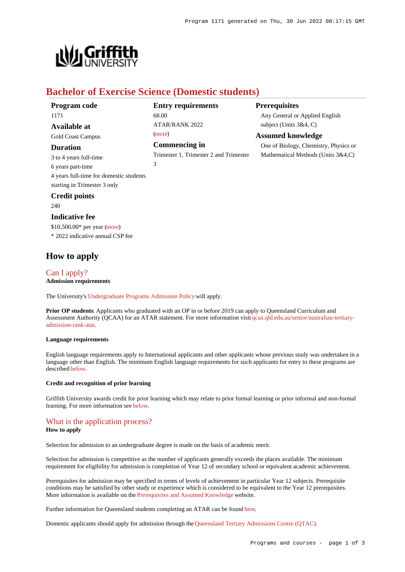**Prerequisites**

Any General or Applied English

One of Biology, Chemistry, Physics or Mathematical Methods (Units 3&4,C)

subject (Units 3&4, C) **Assumed knowledge**



# **Bachelor of Exercise Science (Domestic students)**

68.00

[\(more](https://www148.griffith.edu.au/programs-courses/Program/1171/HowToApply/Domestic#tac-entry-requirements))

3

**Entry requirements**

 $ATAP/RANK 2022$ 

**Commencing in**

Trimester 1, Trimester 2 and Trimester

| Program code                            |
|-----------------------------------------|
| 1171                                    |
| Available at                            |
| <b>Gold Coast Campus</b>                |
| <b>Duration</b>                         |
| 3 to 4 years full-time                  |
| 6 years part-time                       |
| 4 years full-time for domestic students |
| starting in Trimester 3 only            |
| <b>Credit points</b>                    |

## 240

#### **Indicative fee**

\$10,500.00\* per year [\(more](https://www148.griffith.edu.au/programs-courses/Program/1171/Overview/Domestic#fees)) \* 2022 indicative annual CSP fee

## **How to apply**

## [Can I apply?](https://www148.griffith.edu.au/programs-courses/Program/1171/HowToApply/Domestic#can-i-apply)

**Admission requirements**

The University's [Undergraduate Programs Admission Policy](https://sharepointpubstor.blob.core.windows.net/policylibrary-prod/Undergraduate Programs Admission Policy.pdf) will apply.

**Prior OP students:** Applicants who graduated with an OP in or before 2019 can apply to Queensland Curriculum and Assessment Authority (QCAA) for an ATAR statement. For more information visit [qcaa.qld.edu.au/senior/australian-tertiary](http://qcaa.qld.edu.au/senior/australian-tertiary-admission-rank-atar)[admission-rank-atar](http://qcaa.qld.edu.au/senior/australian-tertiary-admission-rank-atar).

#### **Language requirements**

English language requirements apply to International applicants and other applicants whose previous study was undertaken in a language other than English. The minimum English language requirements for such applicants for entry to these programs are described [below](https://www148.griffith.edu.au/programs-courses/Program/1171/HowToApply/Domestic#language).

#### **Credit and recognition of prior learning**

Griffith University awards credit for prior learning which may relate to prior formal learning or prior informal and non-formal learning. For more information see [below](https://www148.griffith.edu.au/programs-courses/Program/1171/HowToApply/Domestic#credit).

## [What is the application process?](https://www148.griffith.edu.au/programs-courses/Program/1171/HowToApply/Domestic#process)

## **How to apply**

Selection for admission to an undergraduate degree is made on the basis of academic merit.

Selection for admission is competitive as the number of applicants generally exceeds the places available. The minimum requirement for eligibility for admission is completion of Year 12 of secondary school or equivalent academic achievement.

Prerequisites for admission may be specified in terms of levels of achievement in particular Year 12 subjects. Prerequisite conditions may be satisfied by other study or experience which is considered to be equivalent to the Year 12 prerequisites. More information is available on the [Prerequisites and Assumed Knowledge](https://www.griffith.edu.au/apply/prerequisites-assumed-knowledge) website.

Further information for Queensland students completing an ATAR can be found [here](https://www.griffith.edu.au/apply/undergraduate-study/high-school-students/admission-in-2021).

Domestic applicants should apply for admission through the [Queensland Tertiary Admissions Centre \(QTAC\)](http://www.qtac.edu.au/).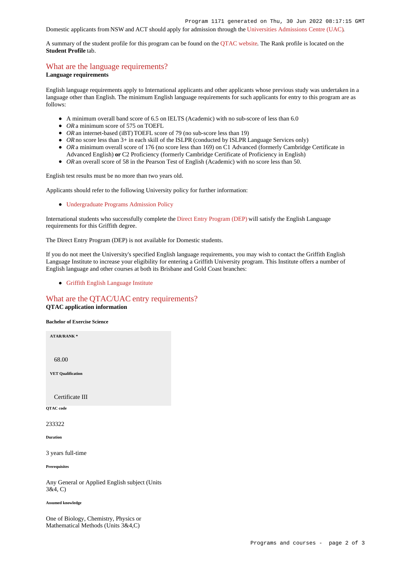## Domestic applicants from NSW and ACT should apply for admission through the [Universities Admissions Centre \(UAC\)](http://www.uac.edu.au/).

A summary of the student profile for this program can be found on the [QTAC website](https://www.qtac.edu.au/courses/listing/bachelor-of-exercise-science-233322/). The Rank profile is located on the **Student Profile** tab.

## [What are the language requirements?](https://www148.griffith.edu.au/programs-courses/Program/1171/HowToApply/Domestic#language)

#### **Language requirements**

English language requirements apply to International applicants and other applicants whose previous study was undertaken in a language other than English. The minimum English language requirements for such applicants for entry to this program are as follows:

- A minimum overall band score of 6.5 on IELTS (Academic) with no sub-score of less than 6.0
- OR a minimum score of 575 on TOEFL
- *OR* an internet-based (iBT) TOEFL score of 79 (no sub-score less than 19)
- OR no score less than 3+ in each skill of the ISLPR (conducted by ISLPR Language Services only)
- OR a minimum overall score of 176 (no score less than 169) on C1 Advanced (formerly Cambridge Certificate in Advanced English) **or** C2 Proficiency (formerly Cambridge Certificate of Proficiency in English)
- OR an overall score of 58 in the Pearson Test of English (Academic) with no score less than 50.

English test results must be no more than two years old.

Applicants should refer to the following University policy for further information:

[Undergraduate Programs Admission Policy](http://policies.griffith.edu.au/pdf/Undergraduate Programs Admission Policy.pdf)

International students who successfully complete the [Direct Entry Program \(DEP\)](https://www.griffith.edu.au/international/griffith-english-language-institute/courses/direct-entry-program) will satisfy the English Language requirements for this Griffith degree.

The Direct Entry Program (DEP) is not available for Domestic students.

If you do not meet the University's specified English language requirements, you may wish to contact the Griffith English Language Institute to increase your eligibility for entering a Griffith University program. This Institute offers a number of English language and other courses at both its Brisbane and Gold Coast branches:

[Griffith English Language Institute](https://www.griffith.edu.au/international/griffith-english-language-institute)

#### [What are the QTAC/UAC entry requirements?](https://www148.griffith.edu.au/programs-courses/Program/1171/HowToApply/Domestic#tac-entry-requirements) **QTAC application information**

**Bachelor of Exercise Science**

**ATAR/RANK \*** 68.00 **VET Qualification** Certificate III **QTAC code** 233322 **Duration** 3 years full-time

**Prerequisites**

Any General or Applied English subject (Units 3&4, C)

**Assumed knowledge**

One of Biology, Chemistry, Physics or Mathematical Methods (Units 3&4,C)